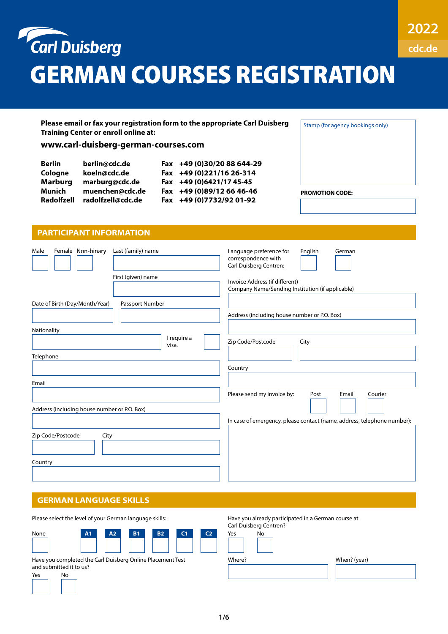

| First (given) name                                | Invoice Address (if different)<br>Company Name/Sending Institution (if applicable) |
|---------------------------------------------------|------------------------------------------------------------------------------------|
| Date of Birth (Day/Month/Year)<br>Passport Number | Address (including house number or P.O. Box)                                       |
| Nationality<br>I require a<br>visa.<br>Telephone  | Zip Code/Postcode<br>City                                                          |
|                                                   | Country                                                                            |
| Email                                             |                                                                                    |
| Address (including house number or P.O. Box)      | Please send my invoice by:<br>Courier<br>Post<br>Email                             |
|                                                   | In case of emergency, please contact (name, address, telephone number):            |
| Zip Code/Postcode<br>City                         |                                                                                    |
| Country                                           |                                                                                    |

# **GERMAN LANGUAGE SKILLS**

| Please select the level of your German language skills:                                            |    |                |           |           |                | Have you already participated in a German course at<br>Carl Duisberg Centren? |        |    |              |
|----------------------------------------------------------------------------------------------------|----|----------------|-----------|-----------|----------------|-------------------------------------------------------------------------------|--------|----|--------------|
| None                                                                                               | A1 | A <sub>2</sub> | <b>B1</b> | <b>B2</b> | C <sub>1</sub> | C <sub>2</sub>                                                                | Yes    | No |              |
| Have you completed the Carl Duisberg Online Placement Test<br>and submitted it to us?<br>Yes<br>No |    |                |           |           |                |                                                                               | Where? |    | When? (year) |
|                                                                                                    |    |                |           |           |                |                                                                               |        |    |              |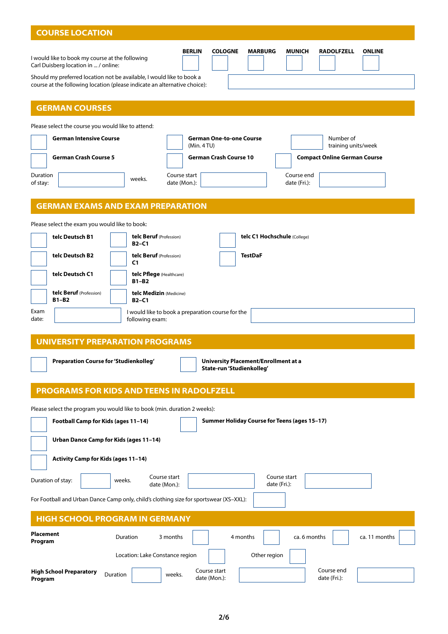| <b>COURSE LOCATION</b>                                                                                                                                                                                                                                                                                                                                              |                                                                                                                                                                                                                                                                |  |  |  |  |  |
|---------------------------------------------------------------------------------------------------------------------------------------------------------------------------------------------------------------------------------------------------------------------------------------------------------------------------------------------------------------------|----------------------------------------------------------------------------------------------------------------------------------------------------------------------------------------------------------------------------------------------------------------|--|--|--|--|--|
| I would like to book my course at the following<br>Carl Duisberg location in  / online:                                                                                                                                                                                                                                                                             | <b>COLOGNE</b><br><b>MARBURG</b><br><b>BERLIN</b><br><b>MUNICH</b><br><b>RADOLFZELL</b><br><b>ONLINE</b><br>Should my preferred location not be available, I would like to book a<br>course at the following location (please indicate an alternative choice): |  |  |  |  |  |
| <b>GERMAN COURSES</b>                                                                                                                                                                                                                                                                                                                                               |                                                                                                                                                                                                                                                                |  |  |  |  |  |
| Please select the course you would like to attend:<br><b>German Intensive Course</b><br><b>German Crash Course 5</b><br>Duration<br>of stay:                                                                                                                                                                                                                        | <b>German One-to-one Course</b><br>Number of<br>(Min. 4TU)<br>training units/week<br><b>German Crash Course 10</b><br><b>Compact Online German Course</b><br>Course start<br>Course end<br>weeks.<br>date (Fri.):<br>date (Mon.):                              |  |  |  |  |  |
|                                                                                                                                                                                                                                                                                                                                                                     | <b>GERMAN EXAMS AND EXAM PREPARATION</b>                                                                                                                                                                                                                       |  |  |  |  |  |
| Please select the exam you would like to book:<br>telc Beruf (Profession)<br>telc Deutsch B1<br>telc C1 Hochschule (College)<br>$B2-C1$<br>telc Deutsch B2<br>telc Beruf (Profession)<br><b>TestDaF</b><br>C <sub>1</sub><br>telc Deutsch C1<br>telc Pflege (Healthcare)<br>$B1 - B2$<br>telc Beruf (Profession)<br>telc Medizin (Medicine)<br>$B1 - B2$<br>$B2-C1$ |                                                                                                                                                                                                                                                                |  |  |  |  |  |
| Exam<br>I would like to book a preparation course for the<br>date:<br>following exam:                                                                                                                                                                                                                                                                               |                                                                                                                                                                                                                                                                |  |  |  |  |  |
|                                                                                                                                                                                                                                                                                                                                                                     | <b>UNIVERSITY PREPARATION PROGRAMS</b>                                                                                                                                                                                                                         |  |  |  |  |  |
| Preparation Course for 'Studienkolleg'<br><b>University Placement/Enrollment at a</b><br>State-run 'Studienkolleg'                                                                                                                                                                                                                                                  |                                                                                                                                                                                                                                                                |  |  |  |  |  |
| <b>PROGRAMS FOR KIDS AND TEENS IN RADOLFZELL</b>                                                                                                                                                                                                                                                                                                                    |                                                                                                                                                                                                                                                                |  |  |  |  |  |
| Please select the program you would like to book (min. duration 2 weeks):<br>Football Camp for Kids (ages 11-14)<br>Summer Holiday Course for Teens (ages 15-17)<br>Urban Dance Camp for Kids (ages 11-14)<br>Activity Camp for Kids (ages 11-14)                                                                                                                   |                                                                                                                                                                                                                                                                |  |  |  |  |  |
| Duration of stay:                                                                                                                                                                                                                                                                                                                                                   | Course start<br>Course start<br>weeks.                                                                                                                                                                                                                         |  |  |  |  |  |
| date (Fri.):<br>date (Mon.):<br>For Football and Urban Dance Camp only, child's clothing size for sportswear (XS-XXL):                                                                                                                                                                                                                                              |                                                                                                                                                                                                                                                                |  |  |  |  |  |
| <b>HIGH SCHOOL PROGRAM IN GERMANY</b>                                                                                                                                                                                                                                                                                                                               |                                                                                                                                                                                                                                                                |  |  |  |  |  |
| <b>Placement</b><br>Program                                                                                                                                                                                                                                                                                                                                         | ca. 6 months<br>Duration<br>3 months<br>4 months<br>ca. 11 months<br>Other region<br>Location: Lake Constance region                                                                                                                                           |  |  |  |  |  |
| <b>High School Preparatory</b><br>Program                                                                                                                                                                                                                                                                                                                           | Course end<br>Course start<br>Duration<br>weeks.<br>date (Mon.):<br>date (Fri.):                                                                                                                                                                               |  |  |  |  |  |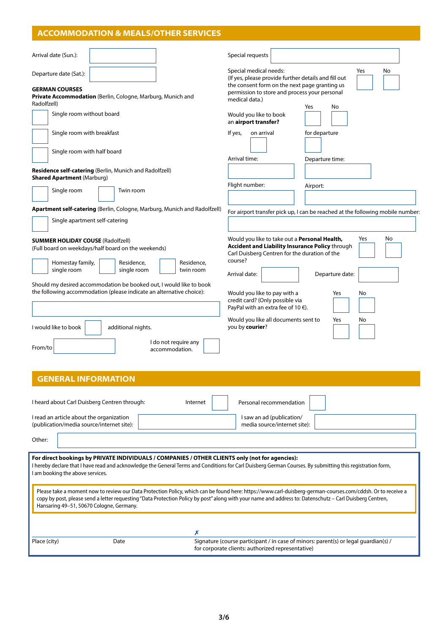# **ACCOMMODATION & MEALS/OTHER SERVICES**

| Arrival date (Sun.):                                                                                                                                                                                                                                                                                                                                                | Special requests                                                                                                                                                                                                                                                                                                                                                                                   |  |  |  |  |  |  |  |
|---------------------------------------------------------------------------------------------------------------------------------------------------------------------------------------------------------------------------------------------------------------------------------------------------------------------------------------------------------------------|----------------------------------------------------------------------------------------------------------------------------------------------------------------------------------------------------------------------------------------------------------------------------------------------------------------------------------------------------------------------------------------------------|--|--|--|--|--|--|--|
| Departure date (Sat.):<br><b>GERMAN COURSES</b><br>Private Accommodation (Berlin, Cologne, Marburg, Munich and<br>Radolfzell)                                                                                                                                                                                                                                       | Special medical needs:<br>Yes<br>No<br>(If yes, please provide further details and fill out<br>the consent form on the next page granting us<br>permission to store and process your personal<br>medical data.)                                                                                                                                                                                    |  |  |  |  |  |  |  |
| Single room without board                                                                                                                                                                                                                                                                                                                                           | No<br>Yes<br>Would you like to book<br>an airport transfer?                                                                                                                                                                                                                                                                                                                                        |  |  |  |  |  |  |  |
| Single room with breakfast                                                                                                                                                                                                                                                                                                                                          | If yes,<br>on arrival<br>for departure                                                                                                                                                                                                                                                                                                                                                             |  |  |  |  |  |  |  |
| Single room with half board                                                                                                                                                                                                                                                                                                                                         | Arrival time:<br>Departure time:                                                                                                                                                                                                                                                                                                                                                                   |  |  |  |  |  |  |  |
| Residence self-catering (Berlin, Munich and Radolfzell)<br><b>Shared Apartment (Marburg)</b>                                                                                                                                                                                                                                                                        |                                                                                                                                                                                                                                                                                                                                                                                                    |  |  |  |  |  |  |  |
| Single room<br>Twin room                                                                                                                                                                                                                                                                                                                                            | Flight number:<br>Airport:                                                                                                                                                                                                                                                                                                                                                                         |  |  |  |  |  |  |  |
| Apartment self-catering (Berlin, Cologne, Marburg, Munich and Radolfzell)<br>Single apartment self-catering                                                                                                                                                                                                                                                         | For airport transfer pick up, I can be reached at the following mobile number                                                                                                                                                                                                                                                                                                                      |  |  |  |  |  |  |  |
| <b>SUMMER HOLIDAY COUSE (Radolfzell)</b><br>(Full board on weekdays/half board on the weekends)<br>Homestay family,<br>Residence,<br>Residence,<br>single room<br>single room<br>twin room<br>Should my desired accommodation be booked out, I would like to book<br>the following accommodation (please indicate an alternative choice):                           | Would you like to take out a Personal Health,<br>Yes<br>No<br>Accident and Liability Insurance Policy through<br>Carl Duisberg Centren for the duration of the<br>course?<br>Arrival date:<br>Departure date:<br>Would you like to pay with a<br>Yes<br>No<br>credit card? (Only possible via<br>PayPal with an extra fee of 10 $\epsilon$ ).<br>Would you like all documents sent to<br>No<br>Yes |  |  |  |  |  |  |  |
| I would like to book<br>additional nights.<br>I do not require any<br>From/to<br>accommodation.                                                                                                                                                                                                                                                                     | you by courier?                                                                                                                                                                                                                                                                                                                                                                                    |  |  |  |  |  |  |  |
| <b>GENERAL INFORMATION</b>                                                                                                                                                                                                                                                                                                                                          |                                                                                                                                                                                                                                                                                                                                                                                                    |  |  |  |  |  |  |  |
| I heard about Carl Duisberg Centren through:<br>Internet<br>I read an article about the organization<br>(publication/media source/internet site):<br>Other:                                                                                                                                                                                                         | Personal recommendation<br>I saw an ad (publication/<br>media source/internet site):                                                                                                                                                                                                                                                                                                               |  |  |  |  |  |  |  |
| For direct bookings by PRIVATE INDIVIDUALS / COMPANIES / OTHER CLIENTS only (not for agencies):<br>I hereby declare that I have read and acknowledge the General Terms and Conditions for Carl Duisberg German Courses. By submitting this registration form,<br>I am booking the above services.                                                                   |                                                                                                                                                                                                                                                                                                                                                                                                    |  |  |  |  |  |  |  |
| Please take a moment now to review our Data Protection Policy, which can be found here: https://www.carl-duisberg-german-courses.com/cddsh. Or to receive a<br>copy by post, please send a letter requesting "Data Protection Policy by post" along with your name and address to: Datenschutz - Carl Duisberg Centren,<br>Hansaring 49-51, 50670 Cologne, Germany. |                                                                                                                                                                                                                                                                                                                                                                                                    |  |  |  |  |  |  |  |
| Х<br>Place (city)<br>Date                                                                                                                                                                                                                                                                                                                                           | Signature (course participant / in case of minors: parent(s) or legal guardian(s) /<br>for corporate clients: authorized representative)                                                                                                                                                                                                                                                           |  |  |  |  |  |  |  |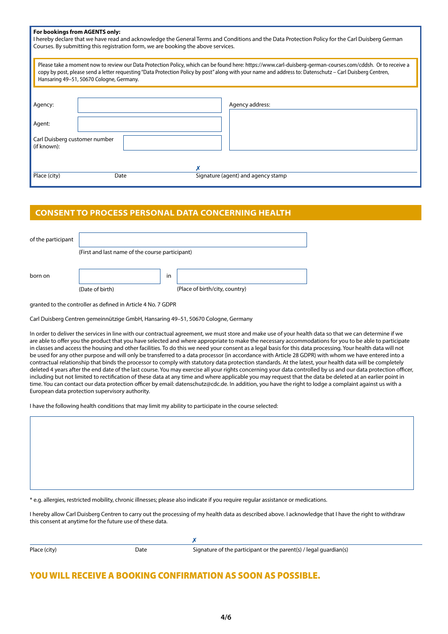| For bookings from AGENTS only:<br>I hereby declare that we have read and acknowledge the General Terms and Conditions and the Data Protection Policy for the Carl Duisberg German<br>Courses. By submitting this registration form, we are booking the above services.                                                                                              |  |  |  |  |  |
|---------------------------------------------------------------------------------------------------------------------------------------------------------------------------------------------------------------------------------------------------------------------------------------------------------------------------------------------------------------------|--|--|--|--|--|
| Please take a moment now to review our Data Protection Policy, which can be found here: https://www.carl-duisberg-german-courses.com/cddsh. Or to receive a<br>copy by post, please send a letter requesting "Data Protection Policy by post" along with your name and address to: Datenschutz – Carl Duisberg Centren,<br>Hansaring 49-51, 50670 Cologne, Germany. |  |  |  |  |  |
| Agency address:<br>Agency:                                                                                                                                                                                                                                                                                                                                          |  |  |  |  |  |
| Agent:                                                                                                                                                                                                                                                                                                                                                              |  |  |  |  |  |
| Carl Duisberg customer number<br>(if known):                                                                                                                                                                                                                                                                                                                        |  |  |  |  |  |
| Place (city)<br>Signature (agent) and agency stamp<br>Date                                                                                                                                                                                                                                                                                                          |  |  |  |  |  |

# **CONSENT TO PROCESS PERSONAL DATA CONCERNING HEALTH**

| of the participant |                                                 |    |                                |
|--------------------|-------------------------------------------------|----|--------------------------------|
|                    | (First and last name of the course participant) |    |                                |
|                    |                                                 |    |                                |
|                    |                                                 | in |                                |
|                    | (Date of birth)                                 |    | (Place of birth/city, country) |
| born on            |                                                 |    |                                |

granted to the controller as defined in Article 4 No. 7 GDPR

Carl Duisberg Centren gemeinnützige GmbH, Hansaring 49–51, 50670 Cologne, Germany

In order to deliver the services in line with our contractual agreement, we must store and make use of your health data so that we can determine if we are able to offer you the product that you have selected and where appropriate to make the necessary accommodations for you to be able to participate in classes and access the housing and other facilities. To do this we need your consent as a legal basis for this data processing. Your health data will not be used for any other purpose and will only be transferred to a data processor (in accordance with Article 28 GDPR) with whom we have entered into a contractual relationship that binds the processor to comply with statutory data protection standards. At the latest, your health data will be completely deleted 4 years after the end date of the last course. You may exercise all your rights concerning your data controlled by us and our data protection officer, including but not limited to rectification of these data at any time and where applicable you may request that the data be deleted at an earlier point in time. You can contact our data protection officer by email: datenschutz@cdc.de. In addition, you have the right to lodge a complaint against us with a European data protection supervisory authority.

I have the following health conditions that may limit my ability to participate in the course selected:

e.g. allergies, restricted mobility, chronic illnesses; please also indicate if you require regular assistance or medications.

✗

I hereby allow Carl Duisberg Centren to carry out the processing of my health data as described above. I acknowledge that I have the right to withdraw this consent at anytime for the future use of these data.

| Place (city) |  |
|--------------|--|
|              |  |

Date Signature of the participant or the parent(s) / legal guardian(s)

# YOU WILL RECEIVE A BOOKING CONFIRMATION AS SOON AS POSSIBLE.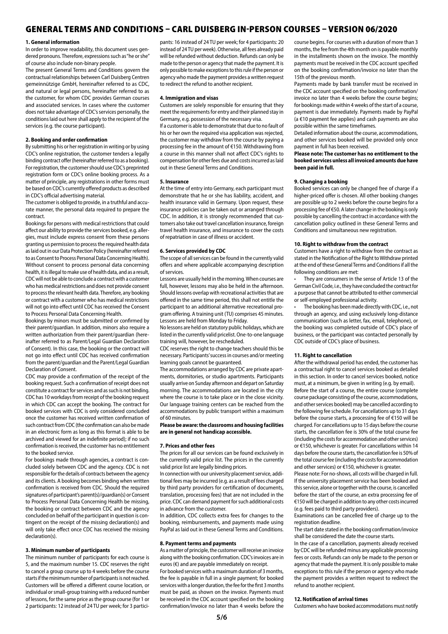# GENERAL TERMS AND CONDITIONS – CARL DUISBERG IN-PERSON COURSES – VERSION 06/2020

#### **1. General information**

In order to improve readability, this document uses gendered pronouns. Therefore, expressions such as "he or she" of course also include non-binary people.

The present General Terms and Conditions govern the contractual relationships between Carl Duisberg Centren gemeinnützige GmbH, hereinafter referred to as CDC, and natural or legal persons, hereinafter referred to as the customer, for whom CDC provides German courses and associated services. In cases where the customer does not take advantage of CDC's services personally, the conditions laid out here shall apply to the recipient of the services (e.g. the course participant).

### **2. Booking and order confirmation**

By submitting his or her registration in writing or by using CDC's online registration, the customer tenders a legally binding contract offer (hereinafter referred to as a booking). For registration, the customer should use CDC's preprinted registration form or CDC's online booking process. As a matter of principle, any registrations in other forms must be based on CDC's currently offered products as described in CDC's official advertising material.

The customer is obliged to provide, in a truthful and accurate manner, the personal data required to prepare the contract.

Bookings for persons with medical restrictions that could affect our ability to provide the services booked, e.g. allergies, must include express consent from these persons granting us permission to process the required health data as laid out in our Data Protection Policy (hereinafter referred to as Consent to Process Personal Data Concerning Health). Without consent to process personal data concerning health, it is illegal to make use of health data, and as a result, CDC will not be able to conclude a contract with a customer who has medical restrictions and does not provide consent to process the relevant health data. Therefore, any booking or contract with a customer who has medical restrictions will not go into effect until CDC has received the Consent to Process Personal Data Concerning Health.

Bookings by minors must be submitted or confirmed by their parent/guardian. In addition, minors also require a written authorization from their parent/guardian (hereinafter referred to as Parent/Legal Guardian Declaration of Consent). In this case, the booking or the contract will not go into effect until CDC has received confirmation from the parent/guardian and the Parent/Legal Guardian Declaration of Consent.

CDC may provide a confirmation of the receipt of the booking request. Such a confirmation of receipt does not constitute a contract for services and as such is not binding. CDC has 10 workdays from receipt of the booking request in which CDC can accept the booking. The contract for booked services with CDC is only considered concluded once the customer has received written confirmation of such contract from CDC (the confirmation can also be made in an electronic form as long as this format is able to be archived and viewed for an indefinite period); if no such confirmation is received, the customer has no entitlement to the booked service.

For bookings made through agencies, a contract is concluded solely between CDC and the agency. CDC is not responsible for the details of contracts between the agency and its clients. A booking becomes binding when written confirmation is received from CDC. Should the required signatures of participant's parent(s)/guardian(s) or Consent to Process Personal Data Concerning Health be missing, the booking or contract between CDC and the agency concluded on behalf of the participant in question is contingent on the receipt of the missing declaration(s) and will only take effect once CDC has received the missing declaration(s).

### **3. Minimum number of participants**

The minimum number of participants for each course is 5, and the maximum number 15. CDC reserves the right to cancel a group course up to 4 weeks before the course starts if the minimum number of participants is not reached. Customers will be offered a different course location, or individual or small-group training with a reduced number of lessons, for the same price as the group course (for 1 or 2 participants: 12 instead of 24 TU per week; for 3 participants: 16 instead of 24 TU per week; for 4 participants: 20 instead of 24 TU per week). Otherwise, all fees already paid will be refunded without deduction. Refunds can only be made to the person or agency that made the payment. It is only possible to make exceptions to this rule if the person or agency who made the payment provides a written request to redirect the refund to another recipient.

#### **4. Immigration and visas**

Customers are solely responsible for ensuring that they meet the requirements for entry and their planned stay in Germany, e.g. possession of the necessary visa.

If a customer is able to demonstrate that due to no fault of his or her own the required visa application was rejected, the customer may withdraw from the course by paying a processing fee in the amount of €150. Withdrawing from a course in this manner shall not affect CDC's rights to compensation for other fees due and costs incurred as laid out in these General Terms and Conditions.

#### **5. Insurance**

At the time of entry into Germany, each participant must demonstrate that he or she has liability, accident, and health insurance valid in Germany. Upon request, these insurance policies can be taken out or arranged through CDC. In addition, it is strongly recommended that customers also take out travel cancellation insurance, foreign travel health insurance, and insurance to cover the costs of repatriation in case of illness or accident.

### **6. Services provided by CDC**

The scope of all services can be found in the currently valid offers and where applicable accompanying description of services.

Lessons are usually held in the morning. When courses are full, however, lessons may also be held in the afternoon. Should lessons overlap with recreational activities that are offered in the same time period, this shall not entitle the participant to an additional alternative recreational program offering. A training unit (TU) comprises 45 minutes. Lessons are held from Monday to Friday.

No lessons are held on statutory public holidays, which are listed in the currently valid pricelist. One-to-one language training will, however, be rescheduled.

CDC reserves the right to change teachers should this be necessary. Participants' success in courses and/or meeting learning goals cannot be guaranteed.

The accommodations arranged by CDC are private apartments, dormitories, or studio apartments. Participants usually arrive on Sunday afternoon and depart on Saturday morning. The accommodations are located in the city where the course is to take place or in the close vicinity. Our language training centers can be reached from the accommodations by public transport within a maximum of 60 minutes.

## **Please be aware: the classrooms and housing facilities are in general not handicap accessible.**

#### **7. Prices and other fees**

The prices for all our services can be found exclusively in the currently valid price list. The prices in the currently valid price list are legally binding prices.

In connection with our university placement service, additional fees may be incurred (e.g. as a result of fees charged by third party providers for certification of documents, translation, processing fees) that are not included in the price. CDC can demand payment for such additional costs in advance from the customer.

In addition, CDC collects extra fees for changes to the booking, reimbursements, and payments made using PayPal as laid out in these General Terms and Conditions.

## **8. Payment terms and payments**

As a matter of principle, the customer will receive an invoice along with the booking confirmation. CDC's invoices are in euros (€) and are payable immediately on receipt.

For booked services with a maximum duration of 3 months, the fee is payable in full in a single payment; for booked services with a longer duration, the fee for the first 3 months must be paid, as shown on the invoice. Payments must be received in the CDC account specified on the booking confirmation/invoice no later than 4 weeks before the

course begins. For courses with a duration of more than 3 months, the fee from the 4th month on is payable monthly in the installments shown on the invoice. The monthly payments must be received in the CDC account specified on the booking confirmation/invoice no later than the 15th of the previous month.

Payments made by bank transfer must be received in the CDC account specified on the booking confirmation/ invoice no later than 4 weeks before the course begins; for bookings made within 4 weeks of the start of a course, payment is due immediately. Payments made by PayPal (a €10 payment fee applies) and cash payments are also possible within the same timeframes.

Detailed information about the course, accommodations, and other services booked will be provided only once payment in full has been received.

### **Please note: The customer has no entitlement to the booked services unless all invoiced amounts due have been paid in full.**

#### **9. Changing a booking**

Booked services can only be changed free of charge if a higher-priced offer is chosen. All other booking changes are possible up to 2 weeks before the course begins for a processing fee of €50. A later change in the booking is only possible by cancelling the contract in accordance with the cancellation policy outlined in these General Terms and Conditions and simultaneous new registration.

#### **10. Right to withdraw from the contract**

Customers have a right to withdraw from the contract as stated in the Notification of the Right to Withdraw printed at the end of these General Terms and Conditions if all the following conditions are met:

They are consumers in the sense of Article 13 of the German Civil Code, i.e., they have concluded the contract for a purpose that cannot be attributed to either commercial or self-employed professional activity.

• The booking has been made directly with CDC, i.e., not through an agency, and using exclusively long-distance communication (such as letter, fax, email, telephone), or the booking was completed outside of CDC's place of business, or the participant was contacted personally by CDC outside of CDC's place of business.

### **11. Right to cancellation**

After the withdrawal period has ended, the customer has a contractual right to cancel services booked as detailed in this section. In order to cancel services booked, notice must, at a minimum, be given in writing (e.g. by email). Before the start of a course, the entire course (complete course package consisting of the course, accommodations, and other services booked) may be cancelled according to the following fee schedule. For cancellations up to 31 days before the course starts, a processing fee of €150 will be charged. For cancellations up to 15 days before the course starts, the cancellation fee is 30% of the total course fee (including the costs for accommodation and other services) or €150, whichever is greater. For cancellations within 14 days before the course starts, the cancellation fee is 50% of the total course fee (including the costs for accommodation and other services) or €150, whichever is greater.

Please note: For no-shows, all costs will be charged in full. If the university placement service has been booked and this service, alone or together with the course, is cancelled before the start of the course, an extra processing fee of €150 will be charged in addition to any other costs incurred (e.g. fees paid to third party providers).

Examinations can be cancelled free of charge up to the registration deadline.

The start date stated in the booking confirmation/invoice shall be considered the date the course starts.

In the case of a cancellation, payments already received by CDC will be refunded minus any applicable processing fees or costs. Refunds can only be made to the person or agency that made the payment. It is only possible to make exceptions to this rule if the person or agency who made the payment provides a written request to redirect the refund to another recipient.

#### **12. Notification of arrival times**

Customers who have booked accommodations must notify